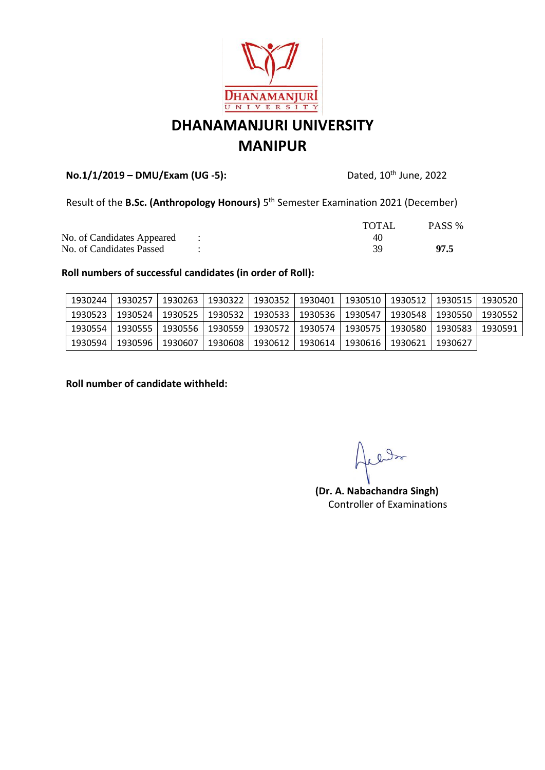

## **No.1/1/2019 – DMU/Exam (UG -5):** Dated, 10th June, 2022

Result of the **B.Sc. (Anthropology Honours)** 5<sup>th</sup> Semester Examination 2021 (December)

|                              | <b>TOTAL</b> | PASS % |
|------------------------------|--------------|--------|
| No. of Candidates Appeared : | 40           |        |
| No. of Candidates Passed     |              | 97.5   |

#### **Roll numbers of successful candidates (in order of Roll):**

| 1930244 | 1930257   | 1930263           | 1930322 l | 1930352   1930401 |                                       | ⊟ 1930510 I | 1930512 | 1930515                     | 1930520 |
|---------|-----------|-------------------|-----------|-------------------|---------------------------------------|-------------|---------|-----------------------------|---------|
| 1930523 | 1930524 l | 1930525           |           |                   | 1930532   1930533   1930536   1930547 |             |         | 1930548   1930550   1930552 |         |
| 1930554 |           | 1930555   1930556 |           |                   | 1930559   1930572   1930574   1930575 |             |         | 1930580   1930583           | 1930591 |
| 1930594 | 1930596 l | 1930607           | 1930608   |                   | 1930612   1930614                     | 1930616     | 1930621 | 1930627                     |         |

#### **Roll number of candidate withheld:**

aller

**(Dr. A. Nabachandra Singh)** Controller of Examinations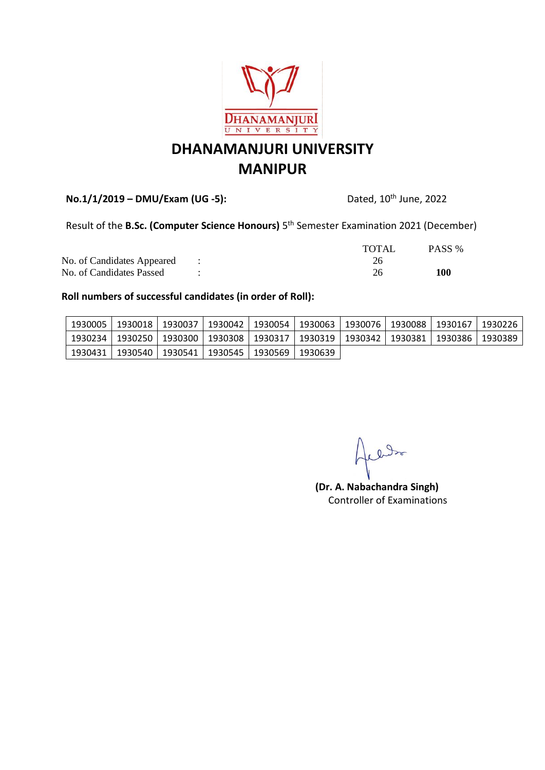

**No.1/1/2019 – DMU/Exam (UG -5):** Dated, 10th June, 2022

Result of the **B.Sc. (Computer Science Honours)** 5 th Semester Examination 2021 (December)

|                              | <b>TOTAL</b> | PASS % |
|------------------------------|--------------|--------|
| No. of Candidates Appeared : |              |        |
| No. of Candidates Passed     |              | 100    |

| 1930005 l | 1930018   1930037   1930042   1930054   1930063   1930076   1930088   1930167   1930226 |  |  |  |  |
|-----------|-----------------------------------------------------------------------------------------|--|--|--|--|
| 1930234 I | 1930250   1930300   1930308   1930317   1930319   1930342   1930381   1930386   1930389 |  |  |  |  |
|           | 1930431   1930540   1930541   1930545   1930569   1930639                               |  |  |  |  |

och es

**(Dr. A. Nabachandra Singh)** Controller of Examinations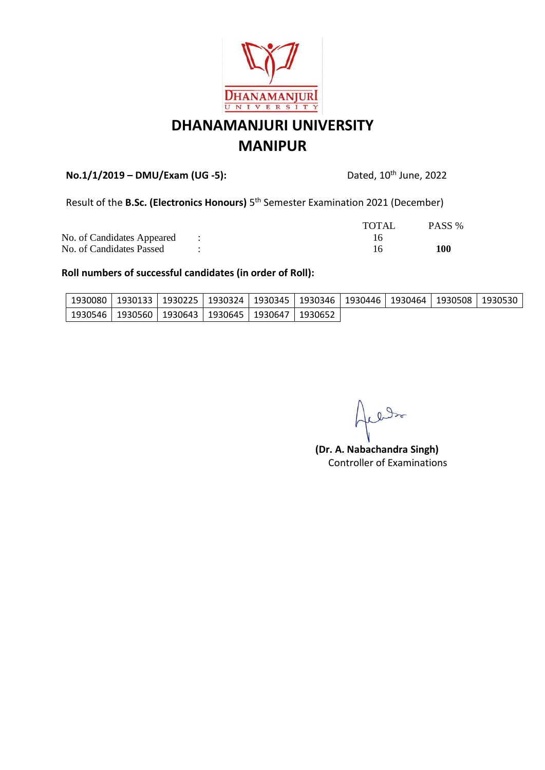

## **No.1/1/2019 – DMU/Exam (UG -5):** Dated, 10th June, 2022

Result of the **B.Sc. (Electronics Honours)** 5<sup>th</sup> Semester Examination 2021 (December)

|                              | <b>TOTAL</b> | PASS % |
|------------------------------|--------------|--------|
| No. of Candidates Appeared : |              |        |
| No. of Candidates Passed     |              | 100    |

| ' 1930546   1930560   1930643   1930645   1930647   1930652 |  |  |  |  |  |
|-------------------------------------------------------------|--|--|--|--|--|

och 1

**(Dr. A. Nabachandra Singh)** Controller of Examinations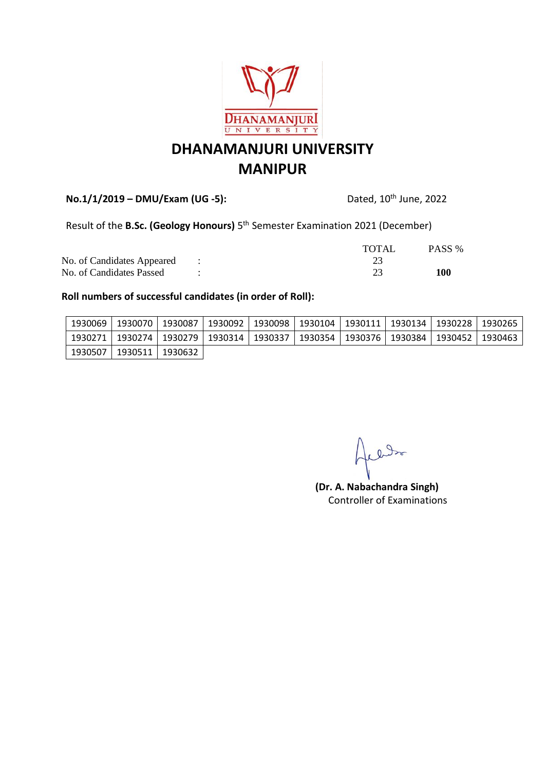

**No.1/1/2019 – DMU/Exam (UG -5):** Dated, 10th June, 2022

Result of the **B.Sc. (Geology Honours)** 5 th Semester Examination 2021 (December)

|                              | <b>TOTAL</b> | PASS % |
|------------------------------|--------------|--------|
| No. of Candidates Appeared : |              |        |
| No. of Candidates Passed     |              | 100    |

| 1930069 |                                                                                                   | 1930070   1930087   1930092   1930098 | 1930104   1930111   1930134   1930228   1930265 |  |  |
|---------|---------------------------------------------------------------------------------------------------|---------------------------------------|-------------------------------------------------|--|--|
|         | 1930271   1930274   1930279   1930314   1930337   1930354   1930376   1930384   1930452   1930463 |                                       |                                                 |  |  |
|         | 1930507   1930511   1930632                                                                       |                                       |                                                 |  |  |

och en

**(Dr. A. Nabachandra Singh)** Controller of Examinations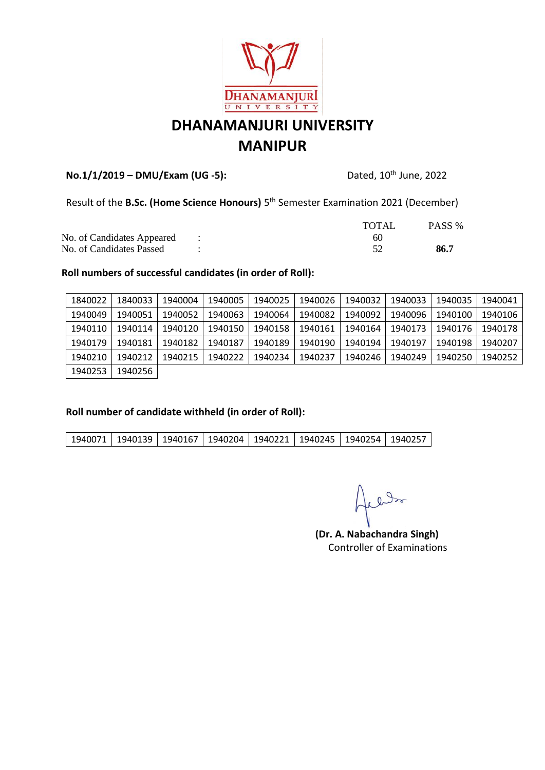

## **No.1/1/2019 – DMU/Exam (UG -5):** Dated, 10th June, 2022

Result of the **B.Sc. (Home Science Honours)** 5 th Semester Examination 2021 (December)

|                              | TOTAL | PASS % |
|------------------------------|-------|--------|
| No. of Candidates Appeared : |       |        |
| No. of Candidates Passed     |       | 86.7   |

#### **Roll numbers of successful candidates (in order of Roll):**

| 1840022 | 1840033 | 1940004 | 1940005 | 1940025 | 1940026 | 1940032 | 1940033 | 1940035 | 1940041 |
|---------|---------|---------|---------|---------|---------|---------|---------|---------|---------|
| 1940049 | 1940051 | 1940052 | 1940063 | 1940064 | 1940082 | 1940092 | 1940096 | 1940100 | 1940106 |
| 1940110 | 1940114 | 1940120 | 1940150 | 1940158 | 1940161 | 1940164 | 1940173 | 1940176 | 1940178 |
| 1940179 | 1940181 | 1940182 | 1940187 | 1940189 | 1940190 | 1940194 | 1940197 | 1940198 | 1940207 |
| 1940210 | 1940212 | 1940215 | 1940222 | 1940234 | 1940237 | 1940246 | 1940249 | 1940250 | 1940252 |
| 1940253 | 1940256 |         |         |         |         |         |         |         |         |

#### **Roll number of candidate withheld (in order of Roll):**

| 1940071   1940139   1940167   1940204   1940221   1940245   1940254   1940257 |  |  |  |  |  |  |  |  |
|-------------------------------------------------------------------------------|--|--|--|--|--|--|--|--|
|-------------------------------------------------------------------------------|--|--|--|--|--|--|--|--|

reds

**(Dr. A. Nabachandra Singh)** Controller of Examinations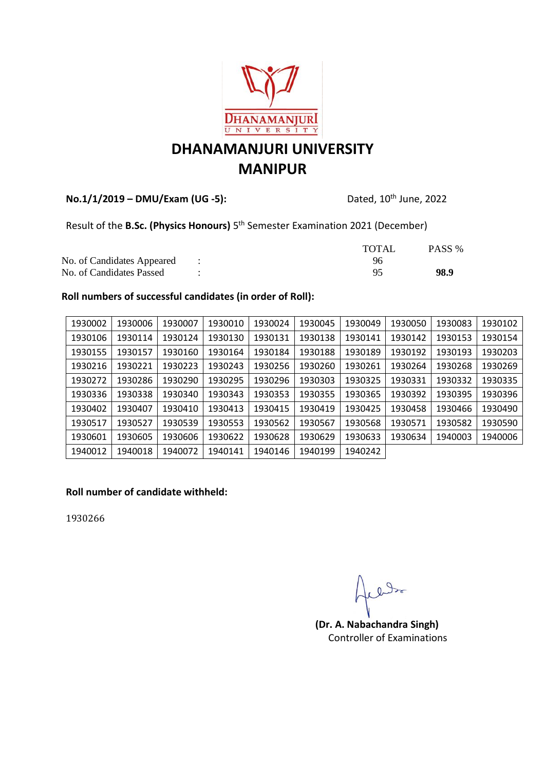

## **No.1/1/2019 – DMU/Exam (UG -5):** Dated, 10th June, 2022

Result of the **B.Sc. (Physics Honours)** 5<sup>th</sup> Semester Examination 2021 (December)

|                              | <b>TOTAL</b> | PASS % |
|------------------------------|--------------|--------|
| No. of Candidates Appeared : | 96           |        |
| No. of Candidates Passed     |              | 98.9   |

### **Roll numbers of successful candidates (in order of Roll):**

| 1930002 | 1930006 | 1930007 | 1930010 | 1930024 | 1930045 | 1930049 | 1930050 | 1930083 | 1930102 |
|---------|---------|---------|---------|---------|---------|---------|---------|---------|---------|
| 1930106 | 1930114 | 1930124 | 1930130 | 1930131 | 1930138 | 1930141 | 1930142 | 1930153 | 1930154 |
| 1930155 | 1930157 | 1930160 | 1930164 | 1930184 | 1930188 | 1930189 | 1930192 | 1930193 | 1930203 |
| 1930216 | 1930221 | 1930223 | 1930243 | 1930256 | 1930260 | 1930261 | 1930264 | 1930268 | 1930269 |
| 1930272 | 1930286 | 1930290 | 1930295 | 1930296 | 1930303 | 1930325 | 1930331 | 1930332 | 1930335 |
| 1930336 | 1930338 | 1930340 | 1930343 | 1930353 | 1930355 | 1930365 | 1930392 | 1930395 | 1930396 |
| 1930402 | 1930407 | 1930410 | 1930413 | 1930415 | 1930419 | 1930425 | 1930458 | 1930466 | 1930490 |
| 1930517 | 1930527 | 1930539 | 1930553 | 1930562 | 1930567 | 1930568 | 1930571 | 1930582 | 1930590 |
| 1930601 | 1930605 | 1930606 | 1930622 | 1930628 | 1930629 | 1930633 | 1930634 | 1940003 | 1940006 |
| 1940012 | 1940018 | 1940072 | 1940141 | 1940146 | 1940199 | 1940242 |         |         |         |

### **Roll number of candidate withheld:**

1930266

le late

**(Dr. A. Nabachandra Singh)** Controller of Examinations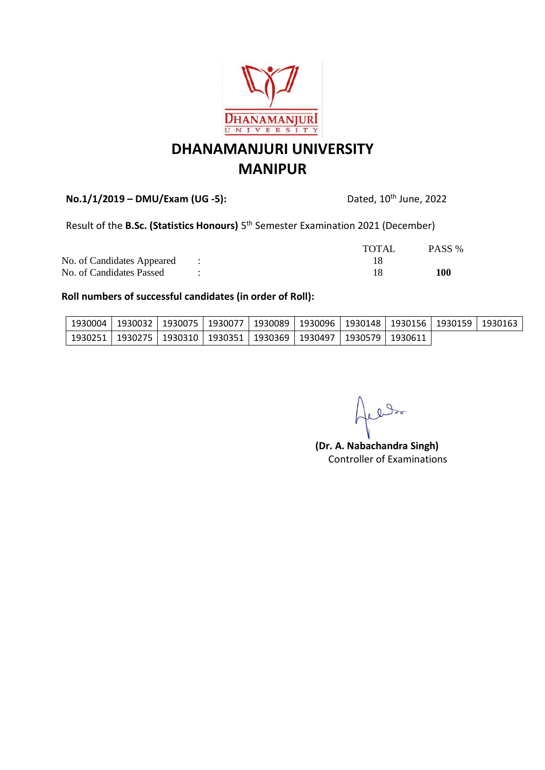

**No.1/1/2019 – DMU/Exam (UG -5):** Dated, 10th June, 2022

Result of the **B.Sc. (Statistics Honours)** 5<sup>th</sup> Semester Examination 2021 (December)

|                              | TOTAL | PASS % |
|------------------------------|-------|--------|
| No. of Candidates Appeared : |       |        |
| No. of Candidates Passed     |       | 100    |

| 1930004   1930032   1930075   1930077   1930089   1930096   1930148   1930156   1930159   1930163 |  |  |  |  |  |
|---------------------------------------------------------------------------------------------------|--|--|--|--|--|
| ∣1930251   1930275   1930310   1930351   1930369   1930497   1930579   1930611                    |  |  |  |  |  |

1ledos

**(Dr. A. Nabachandra Singh)** Controller of Examinations